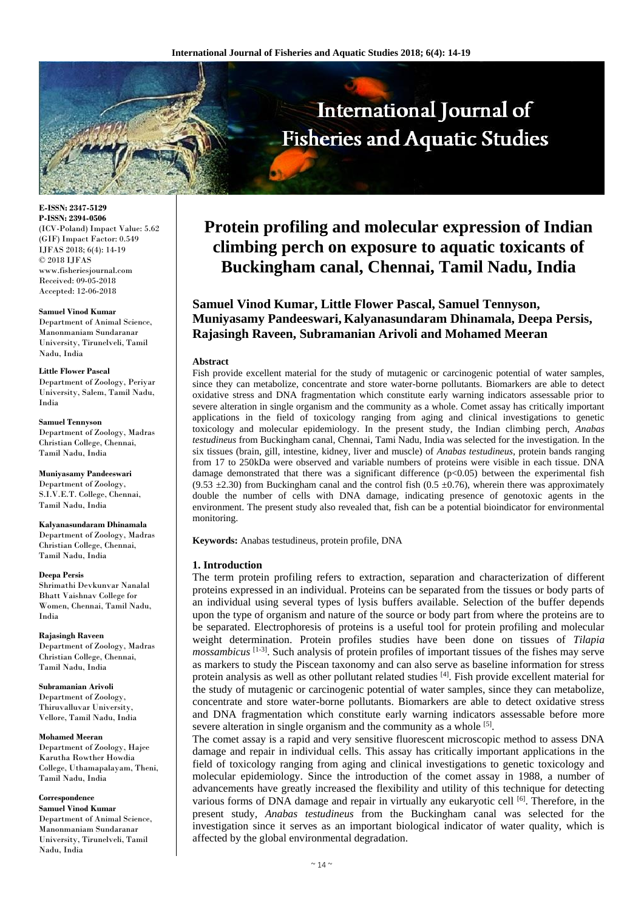

**E-ISSN: 2347-5129 P-ISSN: 2394-0506** (ICV-Poland) Impact Value: 5.62 (GIF) Impact Factor: 0.549 IJFAS 2018; 6(4): 14-19 © 2018 IJFAS www.fisheriesjournal.com Received: 09-05-2018 Accepted: 12-06-2018

#### **Samuel Vinod Kumar**

Department of Animal Science, Manonmaniam Sundaranar University, Tirunelveli, Tamil Nadu, India

#### **Little Flower Pascal**

Department of Zoology, Periyar University, Salem, Tamil Nadu, India

**Samuel Tennyson**

Department of Zoology, Madras Christian College, Chennai, Tamil Nadu, India

**Muniyasamy Pandeeswari** Department of Zoology, S.I.V.E.T. College, Chennai, Tamil Nadu, India

**Kalyanasundaram Dhinamala**

Department of Zoology, Madras Christian College, Chennai, Tamil Nadu, India

#### **Deepa Persis**

Shrimathi Devkunvar Nanalal Bhatt Vaishnav College for Women, Chennai, Tamil Nadu, India

**Rajasingh Raveen** Department of Zoology, Madras Christian College, Chennai, Tamil Nadu, India

**Subramanian Arivoli** Department of Zoology, Thiruvalluvar University, Vellore, Tamil Nadu, India

#### **Mohamed Meeran**

Department of Zoology, Hajee Karutha Rowther Howdia College, Uthamapalayam, Theni, Tamil Nadu, India

# **Correspondence**

**Samuel Vinod Kumar** Department of Animal Science, Manonmaniam Sundaranar University, Tirunelveli, Tamil Nadu, India

# **Protein profiling and molecular expression of Indian climbing perch on exposure to aquatic toxicants of Buckingham canal, Chennai, Tamil Nadu, India**

**Samuel Vinod Kumar, Little Flower Pascal, Samuel Tennyson, Muniyasamy Pandeeswari, Kalyanasundaram Dhinamala, Deepa Persis, Rajasingh Raveen, Subramanian Arivoli and Mohamed Meeran**

# **Abstract**

Fish provide excellent material for the study of mutagenic or carcinogenic potential of water samples, since they can metabolize, concentrate and store water-borne pollutants. Biomarkers are able to detect oxidative stress and DNA fragmentation which constitute early warning indicators assessable prior to severe alteration in single organism and the community as a whole. Comet assay has critically important applications in the field of toxicology ranging from aging and clinical investigations to genetic toxicology and molecular epidemiology. In the present study, the Indian climbing perch, *Anabas testudineus* from Buckingham canal, Chennai, Tami Nadu, India was selected for the investigation. In the six tissues (brain, gill, intestine, kidney, liver and muscle) of *Anabas testudineus*, protein bands ranging from 17 to 250kDa were observed and variable numbers of proteins were visible in each tissue. DNA damage demonstrated that there was a significant difference  $(p<0.05)$  between the experimental fish  $(9.53 \pm 2.30)$  from Buckingham canal and the control fish  $(0.5 \pm 0.76)$ , wherein there was approximately double the number of cells with DNA damage, indicating presence of genotoxic agents in the environment. The present study also revealed that, fish can be a potential bioindicator for environmental monitoring.

**Keywords:** Anabas testudineus, protein profile, DNA

# **1. Introduction**

The term protein profiling refers to extraction, separation and characterization of different proteins expressed in an individual. Proteins can be separated from the tissues or body parts of an individual using several types of lysis buffers available. Selection of the buffer depends upon the type of organism and nature of the source or body part from where the proteins are to be separated. Electrophoresis of proteins is a useful tool for protein profiling and molecular weight determination. Protein profiles studies have been done on tissues of *Tilapia mossambicus* [1-3]. Such analysis of protein profiles of important tissues of the fishes may serve as markers to study the Piscean taxonomy and can also serve as baseline information for stress protein analysis as well as other pollutant related studies [4]. Fish provide excellent material for the study of mutagenic or carcinogenic potential of water samples, since they can metabolize, concentrate and store water-borne pollutants. Biomarkers are able to detect oxidative stress and DNA fragmentation which constitute early warning indicators assessable before more severe alteration in single organism and the community as a whole <sup>[5]</sup>.

The comet assay is a rapid and very sensitive fluorescent microscopic method to assess DNA damage and repair in individual cells. This assay has critically important applications in the field of toxicology ranging from aging and clinical investigations to genetic toxicology and molecular epidemiology. Since the introduction of the comet assay in 1988, a number of advancements have greatly increased the flexibility and utility of this technique for detecting various forms of DNA damage and repair in virtually any eukaryotic cell [6]. Therefore, in the present study, *Anabas testudineus* from the Buckingham canal was selected for the investigation since it serves as an important biological indicator of water quality, which is affected by the global environmental degradation.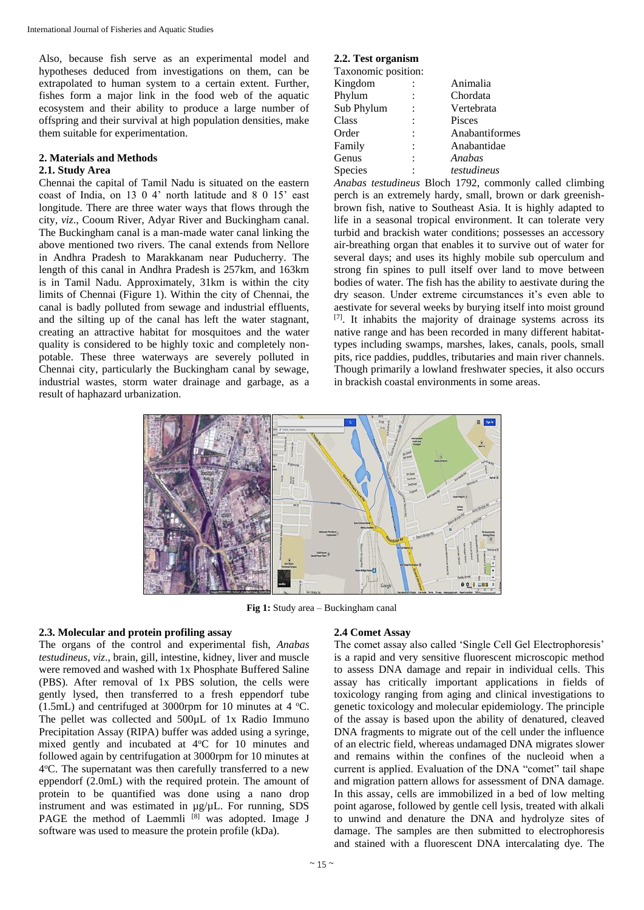Also, because fish serve as an experimental model and hypotheses deduced from investigations on them, can be extrapolated to human system to a certain extent. Further, fishes form a major link in the food web of the aquatic ecosystem and their ability to produce a large number of offspring and their survival at high population densities, make them suitable for experimentation.

#### **2. Materials and Methods**

## **2.1. Study Area**

Chennai the capital of Tamil Nadu is situated on the eastern coast of India, on 13 0 4' north latitude and 8 0 15' east longitude. There are three water ways that flows through the city, *viz*., Cooum River, Adyar River and Buckingham canal. The Buckingham canal is a man-made water canal linking the above mentioned two rivers. The canal extends from Nellore in Andhra Pradesh to Marakkanam near Puducherry. The length of this canal in Andhra Pradesh is 257km, and 163km is in Tamil Nadu. Approximately, 31km is within the city limits of Chennai (Figure 1). Within the city of Chennai, the canal is badly polluted from sewage and industrial effluents, and the silting up of the canal has left the water stagnant, creating an attractive habitat for mosquitoes and the water quality is considered to be highly toxic and completely nonpotable. These three waterways are severely polluted in Chennai city, particularly the Buckingham canal by sewage, industrial wastes, storm water drainage and garbage, as a result of haphazard urbanization.

# **2.2. Test organism**

| Taxonomic position: |                |
|---------------------|----------------|
| Kingdom             | Animalia       |
| Phylum              | Chordata       |
| Sub Phylum          | Vertebrata     |
| Class               | Pisces         |
| Order               | Anabantiformes |
| Family              | Anabantidae    |
| Genus               | Anabas         |
| Species             | testudineus    |
|                     |                |

*Anabas testudineus* Bloch 1792, commonly called climbing perch is an extremely hardy, small, brown or dark greenishbrown fish, native to Southeast Asia. It is highly adapted to life in a seasonal tropical environment. It can tolerate very turbid and brackish water conditions; possesses an accessory air-breathing organ that enables it to survive out of water for several days; and uses its highly mobile sub operculum and strong fin spines to pull itself over land to move between bodies of water. The fish has the ability to aestivate during the dry season. Under extreme circumstances it's even able to aestivate for several weeks by burying itself into moist ground [7]. It inhabits the majority of drainage systems across its native range and has been recorded in many different habitattypes including swamps, marshes, lakes, canals, pools, small pits, rice paddies, puddles, tributaries and main river channels. Though primarily a lowland freshwater species, it also occurs in brackish coastal environments in some areas.



**Fig 1:** Study area – Buckingham canal

# **2.3. Molecular and protein profiling assay**

The organs of the control and experimental fish, *Anabas testudineus*, *viz*., brain, gill, intestine, kidney, liver and muscle were removed and washed with 1x Phosphate Buffered Saline (PBS). After removal of 1x PBS solution, the cells were gently lysed, then transferred to a fresh eppendorf tube (1.5mL) and centrifuged at 3000rpm for 10 minutes at 4  $^{\circ}$ C. The pellet was collected and 500µL of 1x Radio Immuno Precipitation Assay (RIPA) buffer was added using a syringe, mixed gently and incubated at 4°C for 10 minutes and followed again by centrifugation at 3000rpm for 10 minutes at 4°C. The supernatant was then carefully transferred to a new eppendorf (2.0mL) with the required protein. The amount of protein to be quantified was done using a nano drop instrument and was estimated in µg/µL. For running, SDS PAGE the method of Laemmli <sup>[8]</sup> was adopted. Image J software was used to measure the protein profile (kDa).

## **2.4 Comet Assay**

The comet assay also called 'Single Cell Gel Electrophoresis' is a rapid and very sensitive fluorescent microscopic method to assess DNA damage and repair in individual cells. This assay has critically important applications in fields of toxicology ranging from aging and clinical investigations to genetic toxicology and molecular epidemiology. The principle of the assay is based upon the ability of denatured, cleaved DNA fragments to migrate out of the cell under the influence of an electric field, whereas undamaged DNA migrates slower and remains within the confines of the nucleoid when a current is applied. Evaluation of the DNA "comet" tail shape and migration pattern allows for assessment of DNA damage. In this assay, cells are immobilized in a bed of low melting point agarose, followed by gentle cell lysis, treated with alkali to unwind and denature the DNA and hydrolyze sites of damage. The samples are then submitted to electrophoresis and stained with a fluorescent DNA intercalating dye. The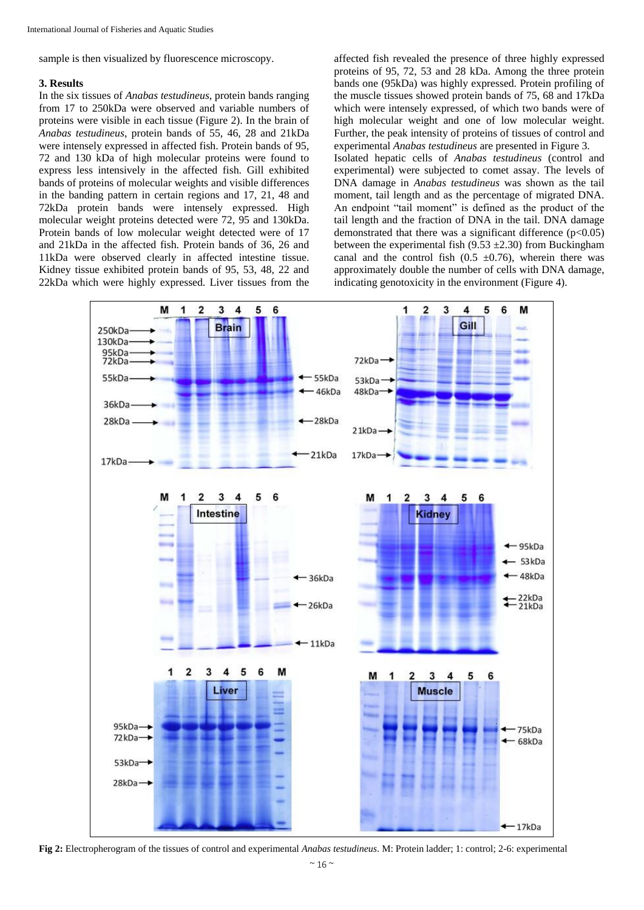sample is then visualized by fluorescence microscopy.

## **3. Results**

In the six tissues of *Anabas testudineus*, protein bands ranging from 17 to 250kDa were observed and variable numbers of proteins were visible in each tissue (Figure 2). In the brain of *Anabas testudineus*, protein bands of 55, 46, 28 and 21kDa were intensely expressed in affected fish. Protein bands of 95, 72 and 130 kDa of high molecular proteins were found to express less intensively in the affected fish. Gill exhibited bands of proteins of molecular weights and visible differences in the banding pattern in certain regions and 17, 21, 48 and 72kDa protein bands were intensely expressed. High molecular weight proteins detected were 72, 95 and 130kDa. Protein bands of low molecular weight detected were of 17 and 21kDa in the affected fish. Protein bands of 36, 26 and 11kDa were observed clearly in affected intestine tissue. Kidney tissue exhibited protein bands of 95, 53, 48, 22 and 22kDa which were highly expressed. Liver tissues from the

affected fish revealed the presence of three highly expressed proteins of 95, 72, 53 and 28 kDa. Among the three protein bands one (95kDa) was highly expressed. Protein profiling of the muscle tissues showed protein bands of 75, 68 and 17kDa which were intensely expressed, of which two bands were of high molecular weight and one of low molecular weight. Further, the peak intensity of proteins of tissues of control and experimental *Anabas testudineus* are presented in Figure 3.

Isolated hepatic cells of *Anabas testudineus* (control and experimental) were subjected to comet assay. The levels of DNA damage in *Anabas testudineus* was shown as the tail moment, tail length and as the percentage of migrated DNA. An endpoint "tail moment" is defined as the product of the tail length and the fraction of DNA in the tail. DNA damage demonstrated that there was a significant difference  $(p<0.05)$ between the experimental fish  $(9.53 \pm 2.30)$  from Buckingham canal and the control fish  $(0.5 \pm 0.76)$ , wherein there was approximately double the number of cells with DNA damage, indicating genotoxicity in the environment (Figure 4).



**Fig 2:** Electropherogram of the tissues of control and experimental *Anabas testudineus*. M: Protein ladder; 1: control; 2-6: experimental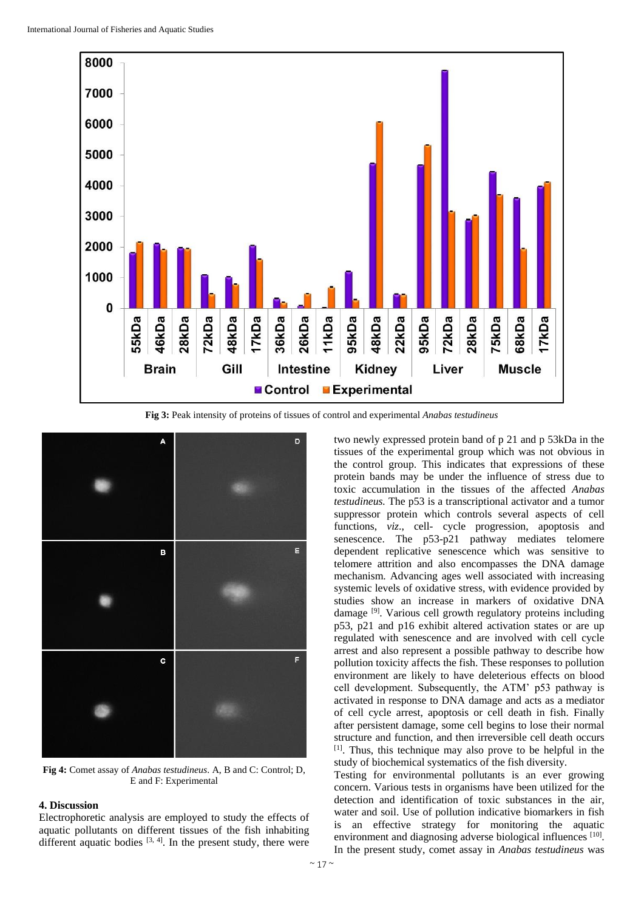

**Fig 3:** Peak intensity of proteins of tissues of control and experimental *Anabas testudineus*



**Fig 4:** Comet assay of *Anabas testudineus*. A, B and C: Control; D, E and F: Experimental

## **4. Discussion**

Electrophoretic analysis are employed to study the effects of aquatic pollutants on different tissues of the fish inhabiting different aquatic bodies  $[3, 4]$ . In the present study, there were

two newly expressed protein band of p 21 and p 53kDa in the tissues of the experimental group which was not obvious in the control group. This indicates that expressions of these protein bands may be under the influence of stress due to toxic accumulation in the tissues of the affected *Anabas testudineus.* The p53 is a transcriptional activator and a tumor suppressor protein which controls several aspects of cell functions, *viz*., cell- cycle progression, apoptosis and senescence. The p53-p21 pathway mediates telomere dependent replicative senescence which was sensitive to telomere attrition and also encompasses the DNA damage mechanism. Advancing ages well associated with increasing systemic levels of oxidative stress, with evidence provided by studies show an increase in markers of oxidative DNA damage [9]. Various cell growth regulatory proteins including p53, p21 and p16 exhibit altered activation states or are up regulated with senescence and are involved with cell cycle arrest and also represent a possible pathway to describe how pollution toxicity affects the fish. These responses to pollution environment are likely to have deleterious effects on blood cell development. Subsequently, the ATM' p53 pathway is activated in response to DNA damage and acts as a mediator of cell cycle arrest, apoptosis or cell death in fish. Finally after persistent damage, some cell begins to lose their normal structure and function, and then irreversible cell death occurs [1]. Thus, this technique may also prove to be helpful in the study of biochemical systematics of the fish diversity.

Testing for environmental pollutants is an ever growing concern. Various tests in organisms have been utilized for the detection and identification of toxic substances in the air, water and soil. Use of pollution indicative biomarkers in fish is an effective strategy for monitoring the aquatic environment and diagnosing adverse biological influences [10]. In the present study, comet assay in *Anabas testudineus* was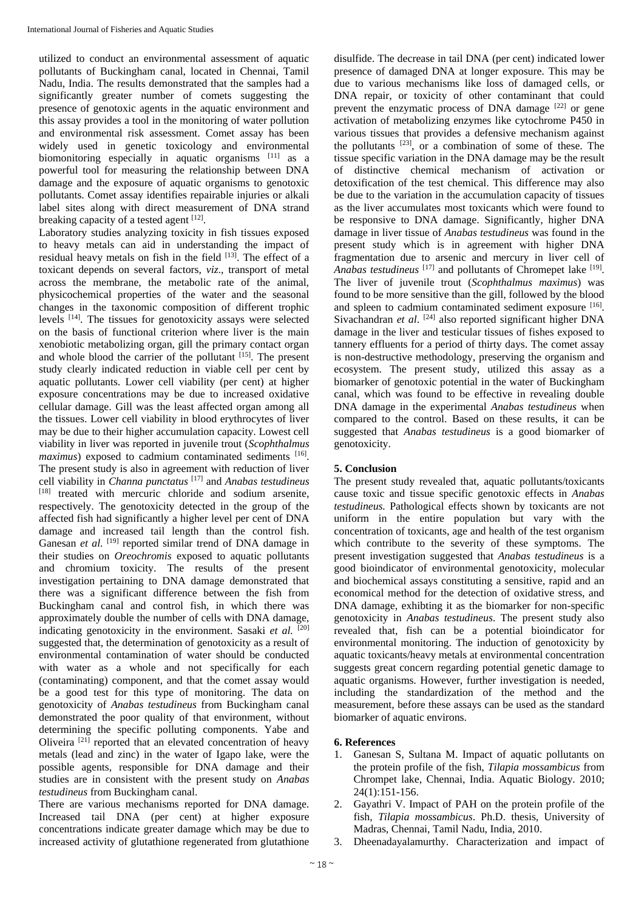utilized to conduct an environmental assessment of aquatic pollutants of Buckingham canal, located in Chennai, Tamil Nadu, India. The results demonstrated that the samples had a significantly greater number of comets suggesting the presence of genotoxic agents in the aquatic environment and this assay provides a tool in the monitoring of water pollution and environmental risk assessment. Comet assay has been widely used in genetic toxicology and environmental biomonitoring especially in aquatic organisms [11] as a powerful tool for measuring the relationship between DNA damage and the exposure of aquatic organisms to genotoxic pollutants. Comet assay identifies repairable injuries or alkali label sites along with direct measurement of DNA strand breaking capacity of a tested agent [12].

Laboratory studies analyzing toxicity in fish tissues exposed to heavy metals can aid in understanding the impact of residual heavy metals on fish in the field [13]. The effect of a toxicant depends on several factors, *viz*., transport of metal across the membrane, the metabolic rate of the animal, physicochemical properties of the water and the seasonal changes in the taxonomic composition of different trophic levels [14]. The tissues for genotoxicity assays were selected on the basis of functional criterion where liver is the main xenobiotic metabolizing organ, gill the primary contact organ and whole blood the carrier of the pollutant  $[$ <sup>15]</sup>. The present study clearly indicated reduction in viable cell per cent by aquatic pollutants. Lower cell viability (per cent) at higher exposure concentrations may be due to increased oxidative cellular damage. Gill was the least affected organ among all the tissues. Lower cell viability in blood erythrocytes of liver may be due to their higher accumulation capacity. Lowest cell viability in liver was reported in juvenile trout (*Scophthalmus*  maximus) exposed to cadmium contaminated sediments [16]. The present study is also in agreement with reduction of liver cell viability in *Channa punctatus* [17] and *Anabas testudineus* [18] treated with mercuric chloride and sodium arsenite, respectively. The genotoxicity detected in the group of the affected fish had significantly a higher level per cent of DNA damage and increased tail length than the control fish. Ganesan *et al.* <sup>[19]</sup> reported similar trend of DNA damage in their studies on *Oreochromis* exposed to aquatic pollutants and chromium toxicity. The results of the present investigation pertaining to DNA damage demonstrated that there was a significant difference between the fish from Buckingham canal and control fish, in which there was approximately double the number of cells with DNA damage, indicating genotoxicity in the environment. Sasaki et al. <sup>[20]</sup> suggested that, the determination of genotoxicity as a result of environmental contamination of water should be conducted with water as a whole and not specifically for each (contaminating) component, and that the comet assay would be a good test for this type of monitoring. The data on genotoxicity of *Anabas testudineus* from Buckingham canal demonstrated the poor quality of that environment, without determining the specific polluting components. Yabe and Oliveira<sup>[21]</sup> reported that an elevated concentration of heavy metals (lead and zinc) in the water of Igapo lake, were the possible agents, responsible for DNA damage and their studies are in consistent with the present study on *Anabas testudineus* from Buckingham canal.

There are various mechanisms reported for DNA damage. Increased tail DNA (per cent) at higher exposure concentrations indicate greater damage which may be due to increased activity of glutathione regenerated from glutathione

disulfide. The decrease in tail DNA (per cent) indicated lower presence of damaged DNA at longer exposure. This may be due to various mechanisms like loss of damaged cells, or DNA repair, or toxicity of other contaminant that could prevent the enzymatic process of DNA damage [22] or gene activation of metabolizing enzymes like cytochrome P450 in various tissues that provides a defensive mechanism against the pollutants  $[23]$ , or a combination of some of these. The tissue specific variation in the DNA damage may be the result of distinctive chemical mechanism of activation or detoxification of the test chemical. This difference may also be due to the variation in the accumulation capacity of tissues as the liver accumulates most toxicants which were found to be responsive to DNA damage. Significantly, higher DNA damage in liver tissue of *Anabas testudineus* was found in the present study which is in agreement with higher DNA fragmentation due to arsenic and mercury in liver cell of Anabas testudineus<sup>[17]</sup> and pollutants of Chromepet lake<sup>[19]</sup>. The liver of juvenile trout (*Scophthalmus maximus*) was found to be more sensitive than the gill, followed by the blood and spleen to cadmium contaminated sediment exposure [16]. Sivachandran et al. <sup>[24]</sup> also reported significant higher DNA damage in the liver and testicular tissues of fishes exposed to tannery effluents for a period of thirty days. The comet assay is non-destructive methodology, preserving the organism and ecosystem. The present study, utilized this assay as a biomarker of genotoxic potential in the water of Buckingham canal, which was found to be effective in revealing double DNA damage in the experimental *Anabas testudineus* when compared to the control. Based on these results, it can be suggested that *Anabas testudineus* is a good biomarker of genotoxicity.

# **5. Conclusion**

The present study revealed that, aquatic pollutants/toxicants cause toxic and tissue specific genotoxic effects in *Anabas testudineus.* Pathological effects shown by toxicants are not uniform in the entire population but vary with the concentration of toxicants, age and health of the test organism which contribute to the severity of these symptoms. The present investigation suggested that *Anabas testudineus* is a good bioindicator of environmental genotoxicity, molecular and biochemical assays constituting a sensitive, rapid and an economical method for the detection of oxidative stress, and DNA damage, exhibting it as the biomarker for non-specific genotoxicity in *Anabas testudineus*. The present study also revealed that, fish can be a potential bioindicator for environmental monitoring. The induction of genotoxicity by aquatic toxicants/heavy metals at environmental concentration suggests great concern regarding potential genetic damage to aquatic organisms. However, further investigation is needed, including the standardization of the method and the measurement, before these assays can be used as the standard biomarker of aquatic environs.

# **6. References**

- 1. Ganesan S, Sultana M. Impact of aquatic pollutants on the protein profile of the fish, *Tilapia mossambicus* from Chrompet lake, Chennai, India. Aquatic Biology*.* 2010; 24(1):151-156.
- 2. Gayathri V. Impact of PAH on the protein profile of the fish, *Tilapia mossambicus*. Ph.D. thesis, University of Madras, Chennai, Tamil Nadu, India, 2010.
- 3. Dheenadayalamurthy. Characterization and impact of